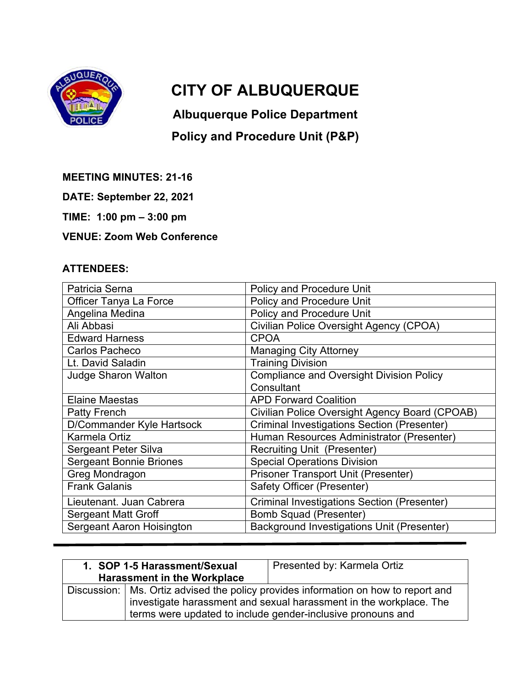

## **CITY OF ALBUQUERQUE**

**Albuquerque Police Department** 

## **Policy and Procedure Unit (P&P)**

**MEETING MINUTES: 21-16** 

**DATE: September 22, 2021** 

**TIME: 1:00 pm – 3:00 pm** 

## **VENUE: Zoom Web Conference**

## **ATTENDEES:**

| Patricia Serna                   | <b>Policy and Procedure Unit</b>                   |
|----------------------------------|----------------------------------------------------|
| Officer Tanya La Force           | <b>Policy and Procedure Unit</b>                   |
| Angelina Medina                  | <b>Policy and Procedure Unit</b>                   |
| Ali Abbasi                       | Civilian Police Oversight Agency (CPOA)            |
| <b>Edward Harness</b>            | <b>CPOA</b>                                        |
| Carlos Pacheco                   | <b>Managing City Attorney</b>                      |
| Lt. David Saladin                | <b>Training Division</b>                           |
| <b>Judge Sharon Walton</b>       | <b>Compliance and Oversight Division Policy</b>    |
|                                  | Consultant                                         |
| <b>Elaine Maestas</b>            | <b>APD Forward Coalition</b>                       |
| Patty French                     | Civilian Police Oversight Agency Board (CPOAB)     |
| D/Commander Kyle Hartsock        | <b>Criminal Investigations Section (Presenter)</b> |
| Karmela Ortiz                    | Human Resources Administrator (Presenter)          |
| <b>Sergeant Peter Silva</b>      | <b>Recruiting Unit (Presenter)</b>                 |
| <b>Sergeant Bonnie Briones</b>   | <b>Special Operations Division</b>                 |
| Greg Mondragon                   | <b>Prisoner Transport Unit (Presenter)</b>         |
| <b>Frank Galanis</b>             | Safety Officer (Presenter)                         |
| Lieutenant. Juan Cabrera         | <b>Criminal Investigations Section (Presenter)</b> |
| <b>Sergeant Matt Groff</b>       | <b>Bomb Squad (Presenter)</b>                      |
| <b>Sergeant Aaron Hoisington</b> | <b>Background Investigations Unit (Presenter)</b>  |
|                                  |                                                    |

| 1. SOP 1-5 Harassment/Sexual<br><b>Harassment in the Workplace</b> | Presented by: Karmela Ortiz                                                                                                                                                                                               |
|--------------------------------------------------------------------|---------------------------------------------------------------------------------------------------------------------------------------------------------------------------------------------------------------------------|
|                                                                    | Discussion:   Ms. Ortiz advised the policy provides information on how to report and<br>investigate harassment and sexual harassment in the workplace. The<br>terms were updated to include gender-inclusive pronouns and |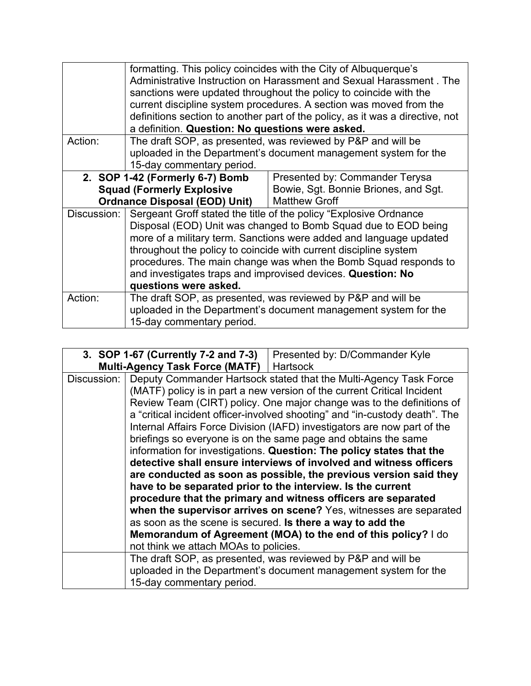|             | formatting. This policy coincides with the City of Albuquerque's<br>Administrative Instruction on Harassment and Sexual Harassment, The<br>sanctions were updated throughout the policy to coincide with the<br>current discipline system procedures. A section was moved from the<br>definitions section to another part of the policy, as it was a directive, not<br>a definition. Question: No questions were asked.                  |                                                                 |
|-------------|------------------------------------------------------------------------------------------------------------------------------------------------------------------------------------------------------------------------------------------------------------------------------------------------------------------------------------------------------------------------------------------------------------------------------------------|-----------------------------------------------------------------|
| Action:     |                                                                                                                                                                                                                                                                                                                                                                                                                                          | The draft SOP, as presented, was reviewed by P&P and will be    |
|             | 15-day commentary period.                                                                                                                                                                                                                                                                                                                                                                                                                | uploaded in the Department's document management system for the |
|             | 2. SOP 1-42 (Formerly 6-7) Bomb                                                                                                                                                                                                                                                                                                                                                                                                          | Presented by: Commander Terysa                                  |
|             | <b>Squad (Formerly Explosive</b>                                                                                                                                                                                                                                                                                                                                                                                                         | Bowie, Sgt. Bonnie Briones, and Sgt.                            |
|             | <b>Ordnance Disposal (EOD) Unit)</b>                                                                                                                                                                                                                                                                                                                                                                                                     | <b>Matthew Groff</b>                                            |
| Discussion: | Sergeant Groff stated the title of the policy "Explosive Ordnance<br>Disposal (EOD) Unit was changed to Bomb Squad due to EOD being<br>more of a military term. Sanctions were added and language updated<br>throughout the policy to coincide with current discipline system<br>procedures. The main change was when the Bomb Squad responds to<br>and investigates traps and improvised devices. Question: No<br>questions were asked. |                                                                 |
| Action:     | The draft SOP, as presented, was reviewed by P&P and will be<br>uploaded in the Department's document management system for the<br>15-day commentary period.                                                                                                                                                                                                                                                                             |                                                                 |

| 3. SOP 1-67 (Currently 7-2 and 7-3) |                                                                      | Presented by: D/Commander Kyle                                              |
|-------------------------------------|----------------------------------------------------------------------|-----------------------------------------------------------------------------|
|                                     | Multi-Agency Task Force (MATF)   Hartsock                            |                                                                             |
| Discussion:                         |                                                                      | Deputy Commander Hartsock stated that the Multi-Agency Task Force           |
|                                     |                                                                      | (MATF) policy is in part a new version of the current Critical Incident     |
|                                     |                                                                      | Review Team (CIRT) policy. One major change was to the definitions of       |
|                                     |                                                                      | a "critical incident officer-involved shooting" and "in-custody death". The |
|                                     |                                                                      | Internal Affairs Force Division (IAFD) investigators are now part of the    |
|                                     |                                                                      | briefings so everyone is on the same page and obtains the same              |
|                                     | information for investigations. Question: The policy states that the |                                                                             |
|                                     | detective shall ensure interviews of involved and witness officers   |                                                                             |
|                                     | are conducted as soon as possible, the previous version said they    |                                                                             |
|                                     |                                                                      | have to be separated prior to the interview. Is the current                 |
|                                     |                                                                      | procedure that the primary and witness officers are separated               |
|                                     |                                                                      | when the supervisor arrives on scene? Yes, witnesses are separated          |
|                                     |                                                                      | as soon as the scene is secured. Is there a way to add the                  |
|                                     |                                                                      | Memorandum of Agreement (MOA) to the end of this policy? I do               |
|                                     | not think we attach MOAs to policies.                                |                                                                             |
|                                     |                                                                      | The draft SOP, as presented, was reviewed by P&P and will be                |
|                                     |                                                                      | uploaded in the Department's document management system for the             |
|                                     | 15-day commentary period.                                            |                                                                             |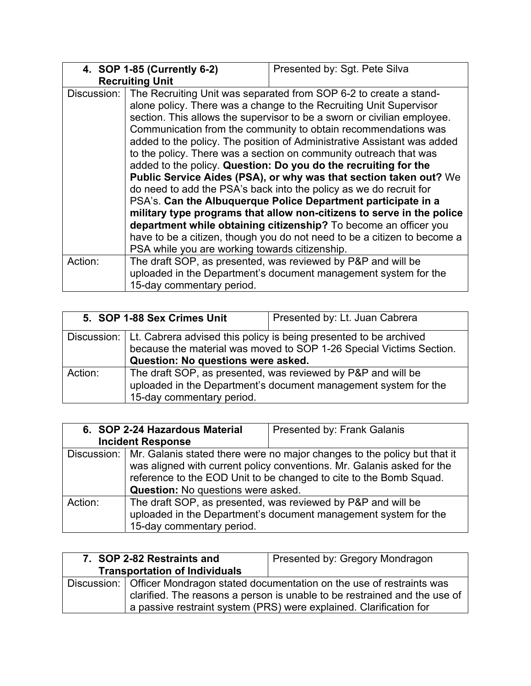|             | 4. SOP 1-85 (Currently 6-2)                                       | Presented by: Sgt. Pete Silva                                            |
|-------------|-------------------------------------------------------------------|--------------------------------------------------------------------------|
|             | <b>Recruiting Unit</b>                                            |                                                                          |
| Discussion: | The Recruiting Unit was separated from SOP 6-2 to create a stand- |                                                                          |
|             |                                                                   | alone policy. There was a change to the Recruiting Unit Supervisor       |
|             |                                                                   | section. This allows the supervisor to be a sworn or civilian employee.  |
|             |                                                                   | Communication from the community to obtain recommendations was           |
|             |                                                                   | added to the policy. The position of Administrative Assistant was added  |
|             |                                                                   | to the policy. There was a section on community outreach that was        |
|             | added to the policy. Question: Do you do the recruiting for the   |                                                                          |
|             | Public Service Aides (PSA), or why was that section taken out? We |                                                                          |
|             |                                                                   | do need to add the PSA's back into the policy as we do recruit for       |
|             | PSA's. Can the Albuquerque Police Department participate in a     |                                                                          |
|             |                                                                   | military type programs that allow non-citizens to serve in the police    |
|             |                                                                   | department while obtaining citizenship? To become an officer you         |
|             |                                                                   | have to be a citizen, though you do not need to be a citizen to become a |
|             | PSA while you are working towards citizenship.                    |                                                                          |
| Action:     |                                                                   | The draft SOP, as presented, was reviewed by P&P and will be             |
|             |                                                                   | uploaded in the Department's document management system for the          |
|             | 15-day commentary period.                                         |                                                                          |

| 5. SOP 1-88 Sex Crimes Unit |                                                                                                                                                                                              | Presented by: Lt. Juan Cabrera |
|-----------------------------|----------------------------------------------------------------------------------------------------------------------------------------------------------------------------------------------|--------------------------------|
|                             | Discussion:   Lt. Cabrera advised this policy is being presented to be archived<br>because the material was moved to SOP 1-26 Special Victims Section.<br>Question: No questions were asked. |                                |
| Action:                     | The draft SOP, as presented, was reviewed by P&P and will be<br>uploaded in the Department's document management system for the<br>15-day commentary period.                                 |                                |

|                          | 6. SOP 2-24 Hazardous Material            | <b>Presented by: Frank Galanis</b>                                                                                                                                                                                                     |
|--------------------------|-------------------------------------------|----------------------------------------------------------------------------------------------------------------------------------------------------------------------------------------------------------------------------------------|
| <b>Incident Response</b> |                                           |                                                                                                                                                                                                                                        |
|                          | <b>Question:</b> No questions were asked. | Discussion:   Mr. Galanis stated there were no major changes to the policy but that it<br>was aligned with current policy conventions. Mr. Galanis asked for the<br>reference to the EOD Unit to be changed to cite to the Bomb Squad. |
| Action:                  | 15-day commentary period.                 | The draft SOP, as presented, was reviewed by P&P and will be<br>uploaded in the Department's document management system for the                                                                                                        |

| 7. SOP 2-82 Restraints and           | Presented by: Gregory Mondragon                                                                                                                                                                                                      |
|--------------------------------------|--------------------------------------------------------------------------------------------------------------------------------------------------------------------------------------------------------------------------------------|
| <b>Transportation of Individuals</b> |                                                                                                                                                                                                                                      |
|                                      | Discussion:   Officer Mondragon stated documentation on the use of restraints was<br>clarified. The reasons a person is unable to be restrained and the use of<br>a passive restraint system (PRS) were explained. Clarification for |